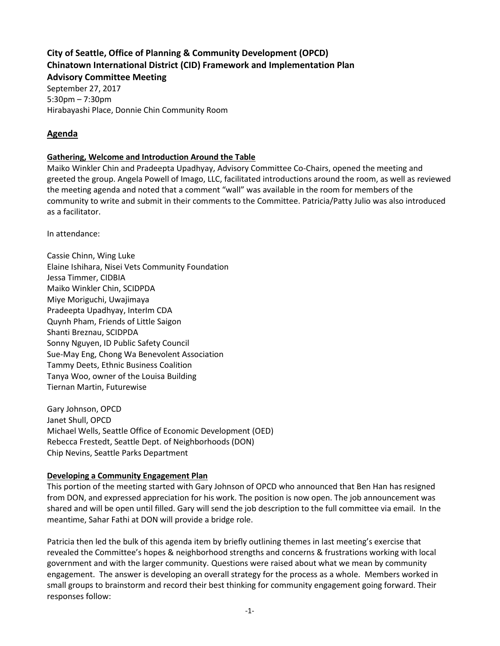# **City of Seattle, Office of Planning & Community Development (OPCD) Chinatown International District (CID) Framework and Implementation Plan**

**Advisory Committee Meeting** September 27, 2017 5:30pm – 7:30pm Hirabayashi Place, Donnie Chin Community Room

# **Agenda**

# **Gathering, Welcome and Introduction Around the Table**

Maiko Winkler Chin and Pradeepta Upadhyay, Advisory Committee Co-Chairs, opened the meeting and greeted the group. Angela Powell of Imago, LLC, facilitated introductions around the room, as well as reviewed the meeting agenda and noted that a comment "wall" was available in the room for members of the community to write and submit in their comments to the Committee. Patricia/Patty Julio was also introduced as a facilitator.

In attendance:

Cassie Chinn, Wing Luke Elaine Ishihara, Nisei Vets Community Foundation Jessa Timmer, CIDBIA Maiko Winkler Chin, SCIDPDA Miye Moriguchi, Uwajimaya Pradeepta Upadhyay, InterIm CDA Quynh Pham, Friends of Little Saigon Shanti Breznau, SCIDPDA Sonny Nguyen, ID Public Safety Council Sue-May Eng, Chong Wa Benevolent Association Tammy Deets, Ethnic Business Coalition Tanya Woo, owner of the Louisa Building Tiernan Martin, Futurewise

Gary Johnson, OPCD Janet Shull, OPCD Michael Wells, Seattle Office of Economic Development (OED) Rebecca Frestedt, Seattle Dept. of Neighborhoods (DON) Chip Nevins, Seattle Parks Department

# **Developing a Community Engagement Plan**

This portion of the meeting started with Gary Johnson of OPCD who announced that Ben Han has resigned from DON, and expressed appreciation for his work. The position is now open. The job announcement was shared and will be open until filled. Gary will send the job description to the full committee via email. In the meantime, Sahar Fathi at DON will provide a bridge role.

Patricia then led the bulk of this agenda item by briefly outlining themes in last meeting's exercise that revealed the Committee's hopes & neighborhood strengths and concerns & frustrations working with local government and with the larger community. Questions were raised about what we mean by community engagement. The answer is developing an overall strategy for the process as a whole. Members worked in small groups to brainstorm and record their best thinking for community engagement going forward. Their responses follow: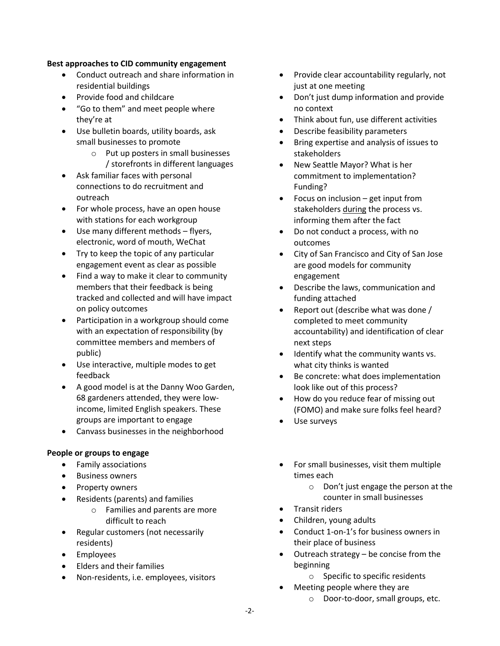#### **Best approaches to CID community engagement**

- Conduct outreach and share information in residential buildings
- Provide food and childcare
- "Go to them" and meet people where they're at
- Use bulletin boards, utility boards, ask small businesses to promote
	- o Put up posters in small businesses / storefronts in different languages
- Ask familiar faces with personal connections to do recruitment and outreach
- For whole process, have an open house with stations for each workgroup
- Use many different methods flyers, electronic, word of mouth, WeChat
- Try to keep the topic of any particular engagement event as clear as possible
- Find a way to make it clear to community members that their feedback is being tracked and collected and will have impact on policy outcomes
- Participation in a workgroup should come with an expectation of responsibility (by committee members and members of public)
- Use interactive, multiple modes to get feedback
- A good model is at the Danny Woo Garden, 68 gardeners attended, they were lowincome, limited English speakers. These groups are important to engage
- Canvass businesses in the neighborhood

### **People or groups to engage**

- Family associations
- Business owners
- Property owners
- Residents (parents) and families
	- o Families and parents are more difficult to reach
- Regular customers (not necessarily residents)
- Employees
- Elders and their families
- Non-residents, i.e. employees, visitors
- Provide clear accountability regularly, not just at one meeting
- Don't just dump information and provide no context
- Think about fun, use different activities
- Describe feasibility parameters
- Bring expertise and analysis of issues to stakeholders
- New Seattle Mayor? What is her commitment to implementation? Funding?
- Focus on inclusion get input from stakeholders during the process vs. informing them after the fact
- Do not conduct a process, with no outcomes
- City of San Francisco and City of San Jose are good models for community engagement
- Describe the laws, communication and funding attached
- Report out (describe what was done / completed to meet community accountability) and identification of clear next steps
- Identify what the community wants vs. what city thinks is wanted
- Be concrete: what does implementation look like out of this process?
- How do you reduce fear of missing out (FOMO) and make sure folks feel heard?
- Use surveys
- For small businesses, visit them multiple times each
	- o Don't just engage the person at the counter in small businesses
	- Transit riders
- Children, young adults
- Conduct 1-on-1's for business owners in their place of business
- Outreach strategy be concise from the beginning
	- o Specific to specific residents
	- Meeting people where they are
		- o Door-to-door, small groups, etc.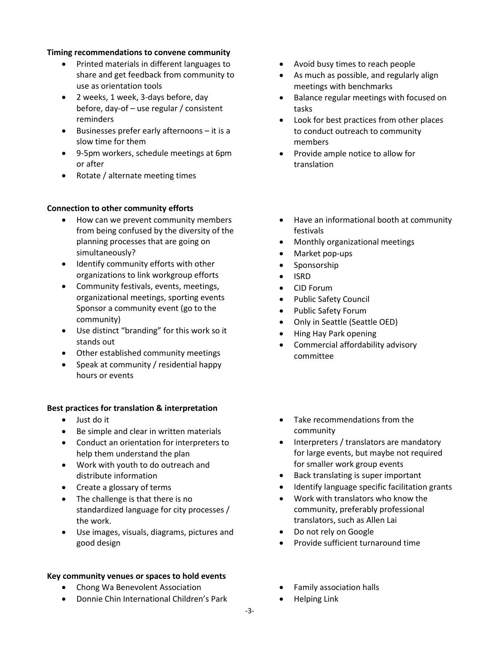#### **Timing recommendations to convene community**

- Printed materials in different languages to share and get feedback from community to use as orientation tools
- 2 weeks, 1 week, 3-days before, day before, day-of – use regular / consistent reminders
- Businesses prefer early afternoons it is a slow time for them
- 9-5pm workers, schedule meetings at 6pm or after
- Rotate / alternate meeting times

### **Connection to other community efforts**

- How can we prevent community members from being confused by the diversity of the planning processes that are going on simultaneously?
- Identify community efforts with other organizations to link workgroup efforts
- Community festivals, events, meetings, organizational meetings, sporting events Sponsor a community event (go to the community)
- Use distinct "branding" for this work so it stands out
- Other established community meetings
- Speak at community / residential happy hours or events

### **Best practices for translation & interpretation**

- Just do it
- Be simple and clear in written materials
- Conduct an orientation for interpreters to help them understand the plan
- Work with youth to do outreach and distribute information
- Create a glossary of terms
- The challenge is that there is no standardized language for city processes / the work.
- Use images, visuals, diagrams, pictures and good design

### **Key community venues or spaces to hold events**

- Chong Wa Benevolent Association
- Donnie Chin International Children's Park
- Avoid busy times to reach people
- As much as possible, and regularly align meetings with benchmarks
- Balance regular meetings with focused on tasks
- Look for best practices from other places to conduct outreach to community members
- Provide ample notice to allow for translation
- Have an informational booth at community festivals
- Monthly organizational meetings
- Market pop-ups
- Sponsorship
- ISRD
- CID Forum
- Public Safety Council
- Public Safety Forum
- Only in Seattle (Seattle OED)
- Hing Hay Park opening
- Commercial affordability advisory committee
- Take recommendations from the community
- Interpreters / translators are mandatory for large events, but maybe not required for smaller work group events
- Back translating is super important
- Identify language specific facilitation grants
- Work with translators who know the community, preferably professional translators, such as Allen Lai
- Do not rely on Google
- Provide sufficient turnaround time
- Family association halls
- Helping Link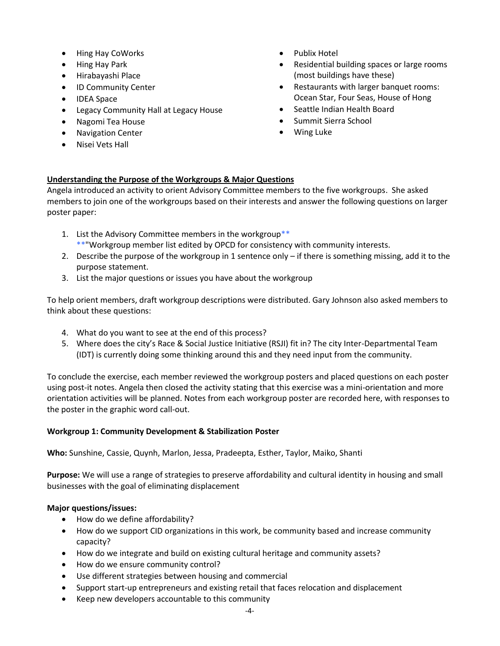- Hing Hay CoWorks
- Hing Hay Park
- Hirabayashi Place
- ID Community Center
- IDEA Space
- Legacy Community Hall at Legacy House
- Nagomi Tea House
- Navigation Center
- Nisei Vets Hall
- Publix Hotel
- Residential building spaces or large rooms (most buildings have these)
- Restaurants with larger banquet rooms: Ocean Star, Four Seas, House of Hong
- Seattle Indian Health Board
- Summit Sierra School
- Wing Luke

# **Understanding the Purpose of the Workgroups & Major Questions**

Angela introduced an activity to orient Advisory Committee members to the five workgroups. She asked members to join one of the workgroups based on their interests and answer the following questions on larger poster paper:

- 1. List the Advisory Committee members in the workgroup\*\* \*\*"Workgroup member list edited by OPCD for consistency with community interests.
- 2. Describe the purpose of the workgroup in 1 sentence only if there is something missing, add it to the purpose statement.
- 3. List the major questions or issues you have about the workgroup

To help orient members, draft workgroup descriptions were distributed. Gary Johnson also asked members to think about these questions:

- 4. What do you want to see at the end of this process?
- 5. Where does the city's Race & Social Justice Initiative (RSJI) fit in? The city Inter-Departmental Team (IDT) is currently doing some thinking around this and they need input from the community.

To conclude the exercise, each member reviewed the workgroup posters and placed questions on each poster using post-it notes. Angela then closed the activity stating that this exercise was a mini-orientation and more orientation activities will be planned. Notes from each workgroup poster are recorded here, with responses to the poster in the graphic word call-out.

# **Workgroup 1: Community Development & Stabilization Poster**

**Who:** Sunshine, Cassie, Quynh, Marlon, Jessa, Pradeepta, Esther, Taylor, Maiko, Shanti

**Purpose:** We will use a range of strategies to preserve affordability and cultural identity in housing and small businesses with the goal of eliminating displacement

# **Major questions/issues:**

- How do we define affordability?
- How do we support CID organizations in this work, be community based and increase community capacity?
- How do we integrate and build on existing cultural heritage and community assets?
- How do we ensure community control?
- Use different strategies between housing and commercial
- Support start-up entrepreneurs and existing retail that faces relocation and displacement
- Keep new developers accountable to this community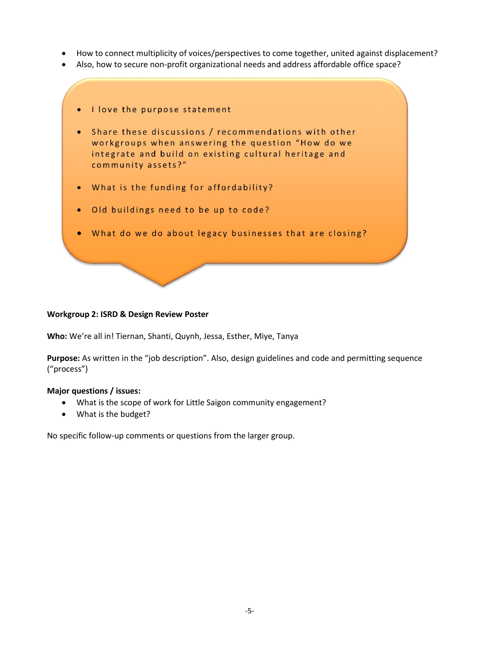- How to connect multiplicity of voices/perspectives to come together, united against displacement?
- Also, how to secure non-profit organizational needs and address affordable office space?
	- I love the purpose statement
	- Share these discussions / recommendations with other workgroups when answering the question "How do we integrate and build on existing cultural heritage and community assets?"
	- What is the funding for affordability?  $\bullet$
	- . Old buildings need to be up to code?
	- . What do we do about legacy businesses that are closing?

### **Workgroup 2: ISRD & Design Review Poster**

**Who:** We're all in! Tiernan, Shanti, Quynh, Jessa, Esther, Miye, Tanya

**Purpose:** As written in the "job description". Also, design guidelines and code and permitting sequence ("process")

#### **Major questions / issues:**

- What is the scope of work for Little Saigon community engagement?
- What is the budget?

No specific follow-up comments or questions from the larger group.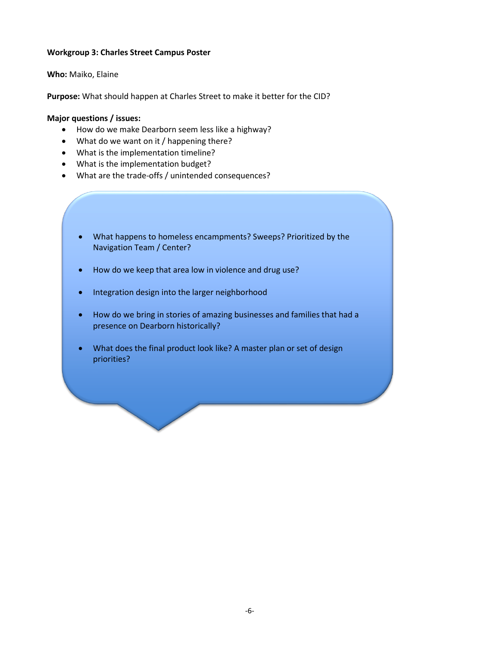## **Workgroup 3: Charles Street Campus Poster**

### **Who:** Maiko, Elaine

**Purpose:** What should happen at Charles Street to make it better for the CID?

## **Major questions / issues:**

- How do we make Dearborn seem less like a highway?
- What do we want on it / happening there?
- What is the implementation timeline?
- What is the implementation budget?
- What are the trade-offs / unintended consequences?
	- What happens to homeless encampments? Sweeps? Prioritized by the Navigation Team / Center?
	- How do we keep that area low in violence and drug use?
	- Integration design into the larger neighborhood
	- How do we bring in stories of amazing businesses and families that had a presence on Dearborn historically?
	- What does the final product look like? A master plan or set of design priorities?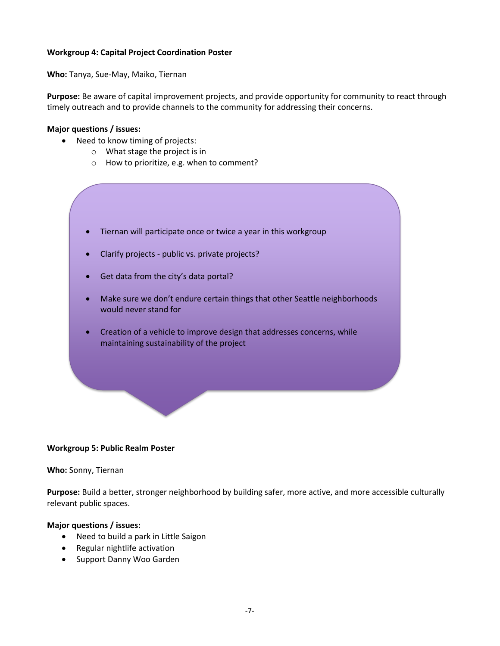## **Workgroup 4: Capital Project Coordination Poster**

**Who:** Tanya, Sue-May, Maiko, Tiernan

**Purpose:** Be aware of capital improvement projects, and provide opportunity for community to react through timely outreach and to provide channels to the community for addressing their concerns.

### **Major questions / issues:**

- Need to know timing of projects:
	- o What stage the project is in
	- o How to prioritize, e.g. when to comment?
	- Tiernan will participate once or twice a year in this workgroup
	- Clarify projects public vs. private projects?
	- Get data from the city's data portal?
	- Make sure we don't endure certain things that other Seattle neighborhoods would never stand for
	- Creation of a vehicle to improve design that addresses concerns, while maintaining sustainability of the project

### **Workgroup 5: Public Realm Poster**

#### **Who:** Sonny, Tiernan

**Purpose:** Build a better, stronger neighborhood by building safer, more active, and more accessible culturally relevant public spaces.

#### **Major questions / issues:**

- Need to build a park in Little Saigon
- Regular nightlife activation
- Support Danny Woo Garden